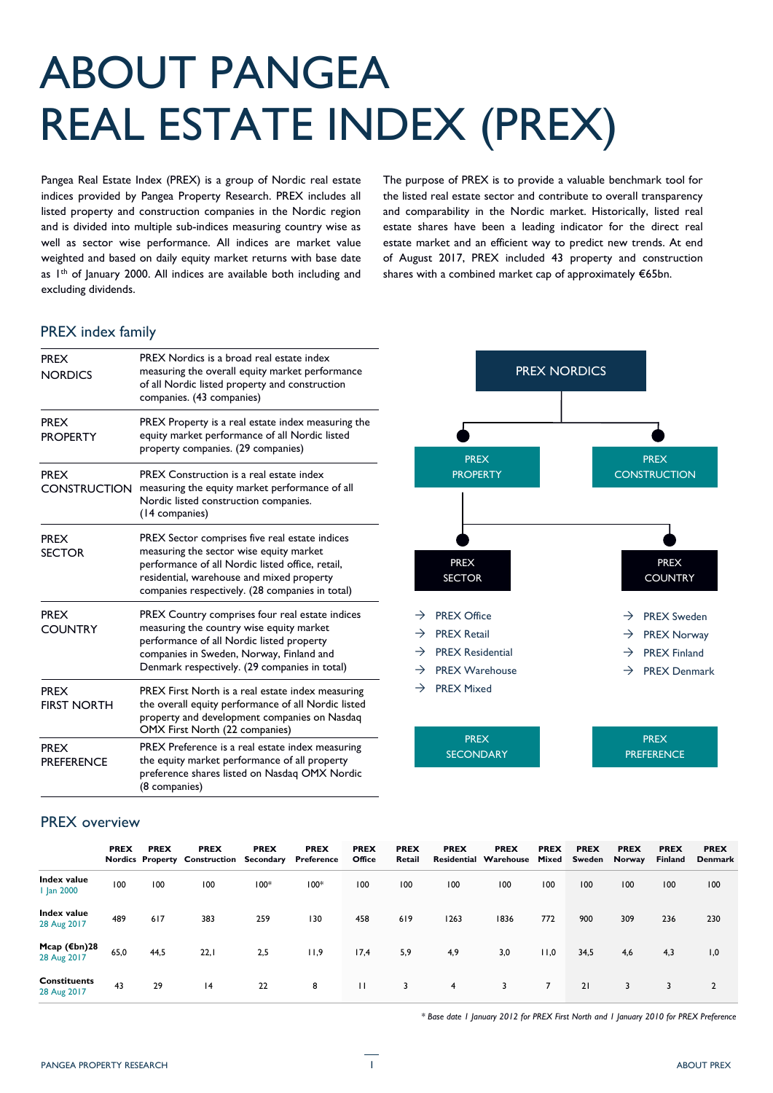# ABOUT PANGEA REAL ESTATE INDEX (PREX)

Pangea Real Estate Index (PREX) is a group of Nordic real estate indices provided by Pangea Property Research. PREX includes all listed property and construction companies in the Nordic region and is divided into multiple sub-indices measuring country wise as well as sector wise performance. All indices are market value weighted and based on daily equity market returns with base date as I<sup>th</sup> of January 2000. All indices are available both including and excluding dividends.

The purpose of PREX is to provide a valuable benchmark tool for the listed real estate sector and contribute to overall transparency and comparability in the Nordic market. Historically, listed real estate shares have been a leading indicator for the direct real estate market and an efficient way to predict new trends. At end of August 2017, PREX included 43 property and construction shares with a combined market cap of approximately €65bn.

## PREX index family

| <b>PREX</b><br><b>NORDICS</b>      | PREX Nordics is a broad real estate index<br>measuring the overall equity market performance<br>of all Nordic listed property and construction<br>companies. (43 companies)                                                                   |  |  |  |  |  |  |
|------------------------------------|-----------------------------------------------------------------------------------------------------------------------------------------------------------------------------------------------------------------------------------------------|--|--|--|--|--|--|
| <b>PREX</b><br><b>PROPERTY</b>     | PREX Property is a real estate index measuring the<br>equity market performance of all Nordic listed<br>property companies. (29 companies)                                                                                                    |  |  |  |  |  |  |
| <b>PREX</b><br><b>CONSTRUCTION</b> | PREX Construction is a real estate index<br>measuring the equity market performance of all<br>Nordic listed construction companies.<br>(14 companies)                                                                                         |  |  |  |  |  |  |
| <b>PREX</b><br><b>SECTOR</b>       | PREX Sector comprises five real estate indices<br>measuring the sector wise equity market<br>performance of all Nordic listed office, retail,<br>residential, warehouse and mixed property<br>companies respectively. (28 companies in total) |  |  |  |  |  |  |
| <b>PREX</b><br><b>COUNTRY</b>      | PREX Country comprises four real estate indices<br>measuring the country wise equity market<br>performance of all Nordic listed property<br>companies in Sweden, Norway, Finland and<br>Denmark respectively. (29 companies in total)         |  |  |  |  |  |  |
| <b>PREX</b><br><b>FIRST NORTH</b>  | PREX First North is a real estate index measuring<br>the overall equity performance of all Nordic listed<br>property and development companies on Nasdaq<br>OMX First North (22 companies)                                                    |  |  |  |  |  |  |
| <b>PREX</b><br><b>PREFERENCE</b>   | PREX Preference is a real estate index measuring<br>the equity market performance of all property<br>preference shares listed on Nasdaq OMX Nordic<br>(8 companies)                                                                           |  |  |  |  |  |  |

## PREX NORDICS PREX **CONSTRUCTION** PREX **PROPERTY**  $\rightarrow$  PREX Office  $\rightarrow$  PREX Retail  $\rightarrow$  PREX Residential  $\rightarrow$  PREX Warehouse  $\rightarrow$  PREX Mixed  $\rightarrow$  PREX Sweden  $\rightarrow$  PREX Norway  $\rightarrow$  PREX Finland  $\rightarrow$  PREX Denmark PREX SECTOR PREX **COUNTRY** PREX PREX

## PREX overview

|                                       | <b>PREX</b> | <b>PREX</b> | <b>PREX</b><br>Nordics Property Construction Secondary | <b>PREX</b> | <b>PREX</b><br>Preference | <b>PREX</b><br>Office | <b>PREX</b><br>Retail | <b>PREX</b> | <b>PREX</b><br><b>Residential Warehouse</b> | <b>PREX</b><br>Mixed | <b>PREX</b><br>Sweden | <b>PREX</b><br>Norway | <b>PREX</b><br><b>Finland</b> | <b>PREX</b><br><b>Denmark</b> |
|---------------------------------------|-------------|-------------|--------------------------------------------------------|-------------|---------------------------|-----------------------|-----------------------|-------------|---------------------------------------------|----------------------|-----------------------|-----------------------|-------------------------------|-------------------------------|
| Index value<br><b>Jan 2000</b>        | 100         | 100         | 100                                                    | $100*$      | $100*$                    | 100                   | 100                   | 100         | 100                                         | 100                  | 100                   | 100                   | 100                           | 100                           |
| Index value<br>28 Aug 2017            | 489         | 617         | 383                                                    | 259         | 130                       | 458                   | 619                   | 1263        | 1836                                        | 772                  | 900                   | 309                   | 236                           | 230                           |
| Mcap $(\epsilon$ bn)28<br>28 Aug 2017 | 65,0        | 44,5        | 22,1                                                   | 2,5         | 11,9                      | 17,4                  | 5,9                   | 4,9         | 3,0                                         | 11,0                 | 34,5                  | 4,6                   | 4,3                           | 1,0                           |
| <b>Constituents</b><br>28 Aug 2017    | 43          | 29          | 4                                                      | 22          | 8                         | $\mathbf{H}$          | 3                     | 4           | 3                                           | $\overline{7}$       | 21                    | 3                     | 3                             | $\overline{2}$                |

**SECONDARY** 

*\* Base date 1 January 2012 for PREX First North and 1 January 2010 for PREX Preference* 

**PREFERENCE**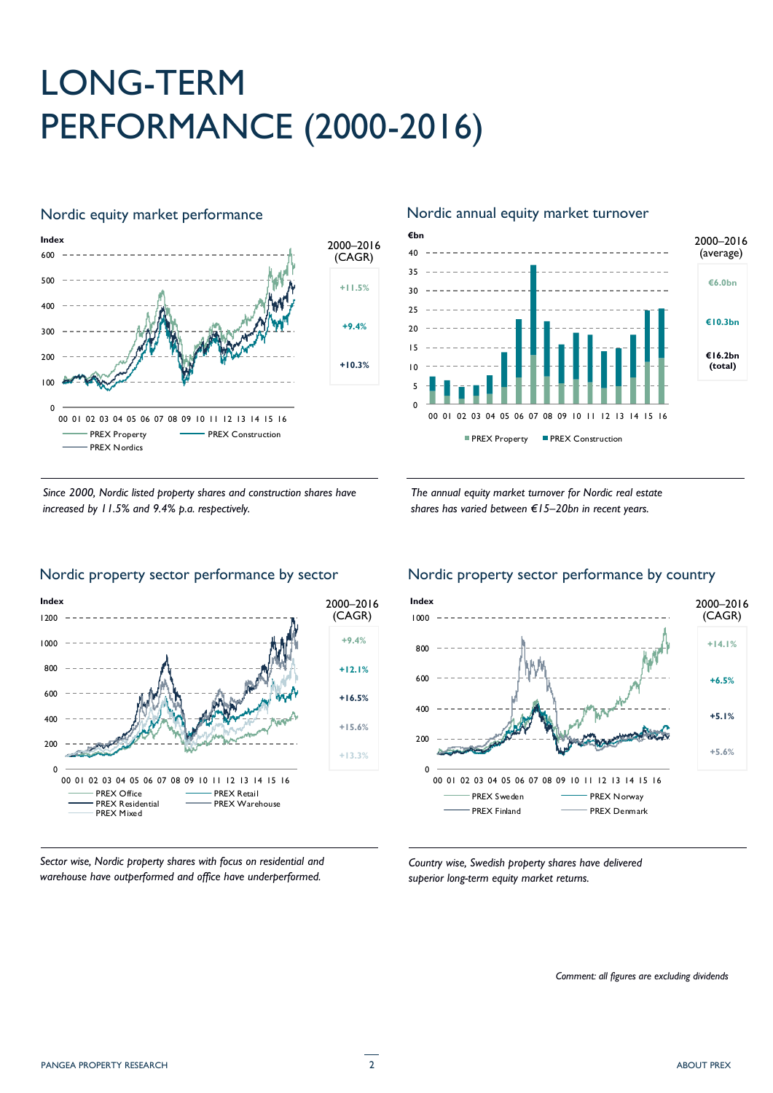# LONG-TERM PERFORMANCE (2000-2016)



## Nordic equity market performance Nordic annual equity market turnover





*The annual equity market turnover for Nordic real estate shares has varied between €15–20bn in recent years.*



*Sector wise, Nordic property shares with focus on residential and warehouse have outperformed and office have underperformed.*



*Country wise, Swedish property shares have delivered superior long-term equity market returns.*

*Comment: all figures are excluding dividends*

## Nordic property sector performance by sector Nordic property sector performance by country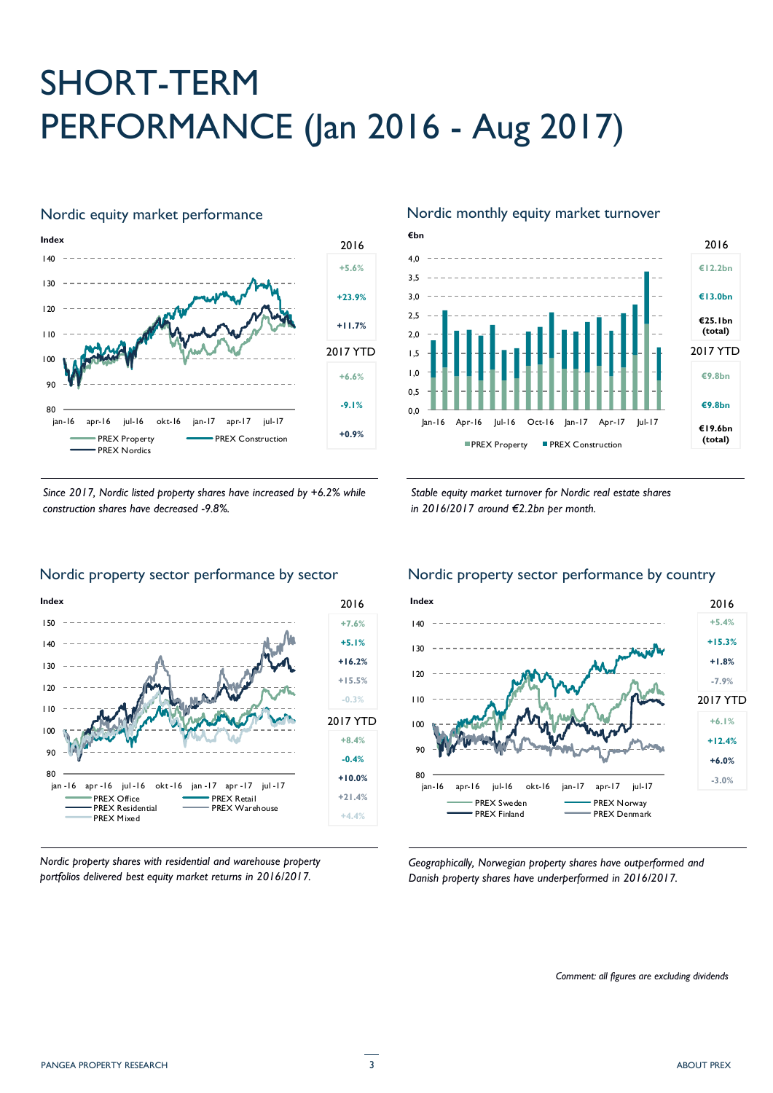# SHORT-TERM PERFORMANCE (Jan 2016 - Aug 2017)



*Since 2017, Nordic listed property shares have increased by +6.2% while construction shares have decreased -9.8%.*



## Nordic equity market performance Nordic monthly equity market turnover





*Nordic property shares with residential and warehouse property portfolios delivered best equity market returns in 2016/2017.*

# Nordic property sector performance by sector Nordic property sector performance by country



*Geographically, Norwegian property shares have outperformed and Danish property shares have underperformed in 2016/2017.*

*Comment: all figures are excluding dividends*